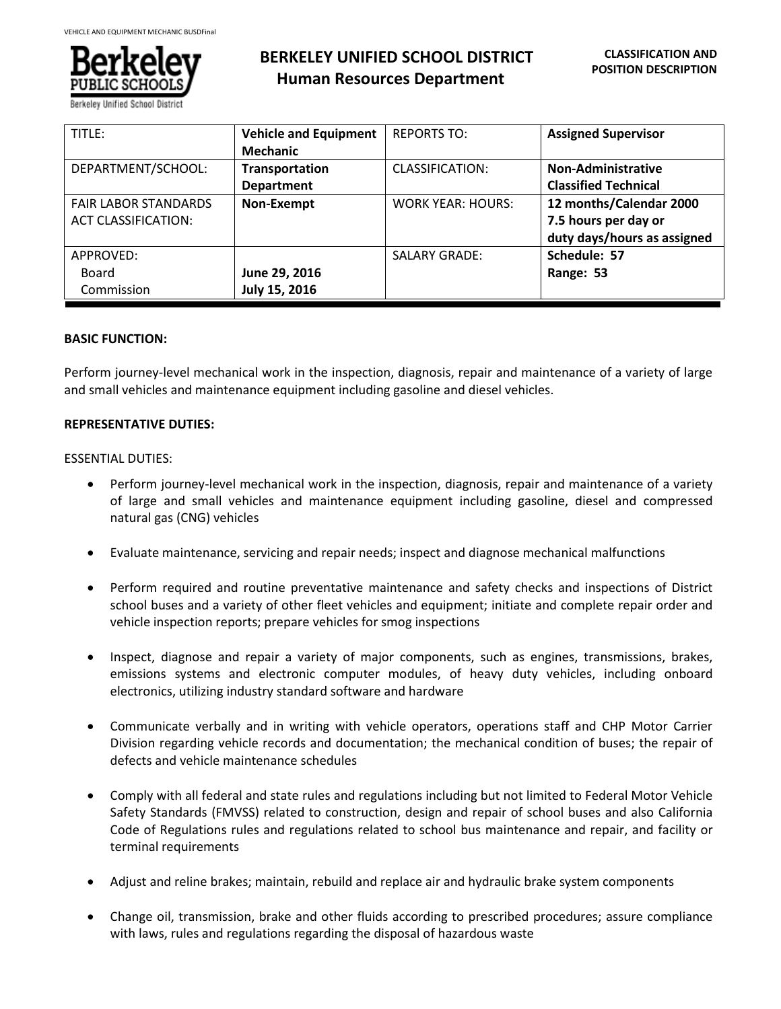

# **BERKELEY UNIFIED SCHOOL DISTRICT Human Resources Department**

| TITLE:                                                    | <b>Vehicle and Equipment</b><br><b>Mechanic</b> | <b>REPORTS TO:</b>       | <b>Assigned Supervisor</b>                                                     |
|-----------------------------------------------------------|-------------------------------------------------|--------------------------|--------------------------------------------------------------------------------|
| DEPARTMENT/SCHOOL:                                        | Transportation<br><b>Department</b>             | CLASSIFICATION:          | <b>Non-Administrative</b><br><b>Classified Technical</b>                       |
| <b>FAIR LABOR STANDARDS</b><br><b>ACT CLASSIFICATION:</b> | Non-Exempt                                      | <b>WORK YEAR: HOURS:</b> | 12 months/Calendar 2000<br>7.5 hours per day or<br>duty days/hours as assigned |
| APPROVED:<br>Board<br>Commission                          | June 29, 2016<br>July 15, 2016                  | <b>SALARY GRADE:</b>     | Schedule: 57<br>Range: 53                                                      |

# **BASIC FUNCTION:**

Perform journey-level mechanical work in the inspection, diagnosis, repair and maintenance of a variety of large and small vehicles and maintenance equipment including gasoline and diesel vehicles.

## **REPRESENTATIVE DUTIES:**

## ESSENTIAL DUTIES:

- Perform journey-level mechanical work in the inspection, diagnosis, repair and maintenance of a variety of large and small vehicles and maintenance equipment including gasoline, diesel and compressed natural gas (CNG) vehicles
- Evaluate maintenance, servicing and repair needs; inspect and diagnose mechanical malfunctions
- Perform required and routine preventative maintenance and safety checks and inspections of District school buses and a variety of other fleet vehicles and equipment; initiate and complete repair order and vehicle inspection reports; prepare vehicles for smog inspections
- Inspect, diagnose and repair a variety of major components, such as engines, transmissions, brakes, emissions systems and electronic computer modules, of heavy duty vehicles, including onboard electronics, utilizing industry standard software and hardware
- Communicate verbally and in writing with vehicle operators, operations staff and CHP Motor Carrier Division regarding vehicle records and documentation; the mechanical condition of buses; the repair of defects and vehicle maintenance schedules
- Comply with all federal and state rules and regulations including but not limited to Federal Motor Vehicle Safety Standards (FMVSS) related to construction, design and repair of school buses and also California Code of Regulations rules and regulations related to school bus maintenance and repair, and facility or terminal requirements
- Adjust and reline brakes; maintain, rebuild and replace air and hydraulic brake system components
- Change oil, transmission, brake and other fluids according to prescribed procedures; assure compliance with laws, rules and regulations regarding the disposal of hazardous waste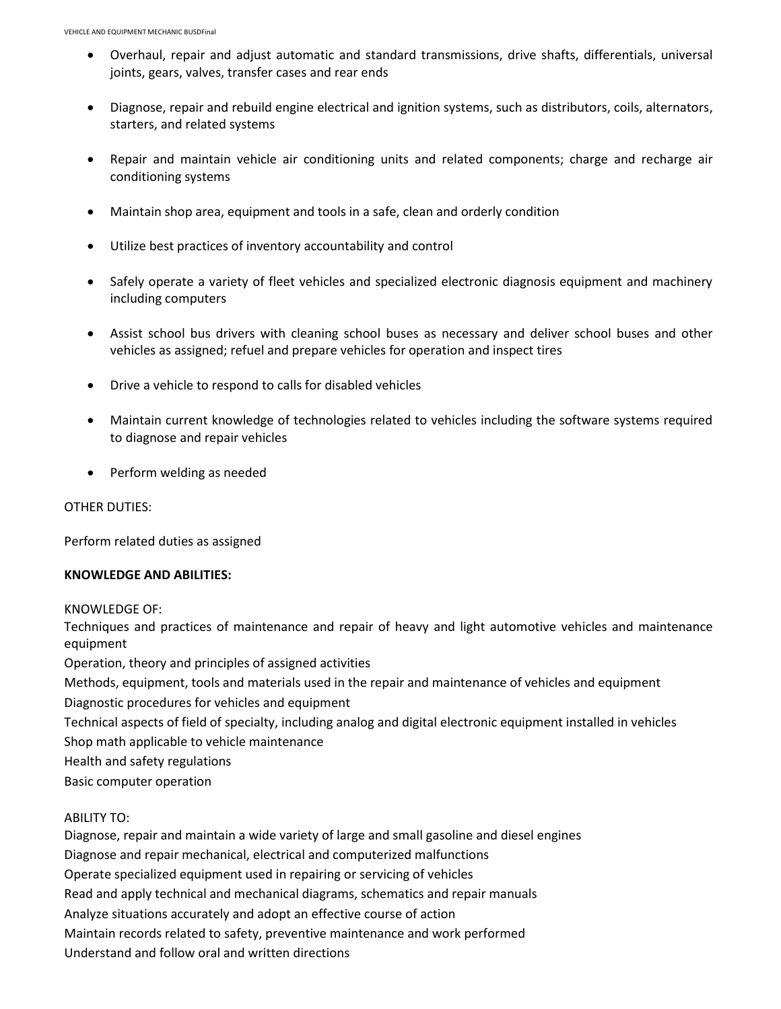- Overhaul, repair and adjust automatic and standard transmissions, drive shafts, differentials, universal joints, gears, valves, transfer cases and rear ends
- Diagnose, repair and rebuild engine electrical and ignition systems, such as distributors, coils, alternators, starters, and related systems
- Repair and maintain vehicle air conditioning units and related components; charge and recharge air conditioning systems
- Maintain shop area, equipment and tools in a safe, clean and orderly condition
- Utilize best practices of inventory accountability and control
- Safely operate a variety of fleet vehicles and specialized electronic diagnosis equipment and machinery including computers
- Assist school bus drivers with cleaning school buses as necessary and deliver school buses and other vehicles as assigned; refuel and prepare vehicles for operation and inspect tires
- Drive a vehicle to respond to calls for disabled vehicles
- Maintain current knowledge of technologies related to vehicles including the software systems required to diagnose and repair vehicles
- Perform welding as needed

#### OTHER DUTIES:

Perform related duties as assigned

#### **KNOWLEDGE AND ABILITIES:**

KNOWLEDGE OF:

Techniques and practices of maintenance and repair of heavy and light automotive vehicles and maintenance equipment

Operation, theory and principles of assigned activities

Methods, equipment, tools and materials used in the repair and maintenance of vehicles and equipment

Diagnostic procedures for vehicles and equipment

Technical aspects of field of specialty, including analog and digital electronic equipment installed in vehicles

Shop math applicable to vehicle maintenance

Health and safety regulations

Basic computer operation

#### ABILITY TO:

Diagnose, repair and maintain a wide variety of large and small gasoline and diesel engines Diagnose and repair mechanical, electrical and computerized malfunctions Operate specialized equipment used in repairing or servicing of vehicles Read and apply technical and mechanical diagrams, schematics and repair manuals Analyze situations accurately and adopt an effective course of action Maintain records related to safety, preventive maintenance and work performed Understand and follow oral and written directions